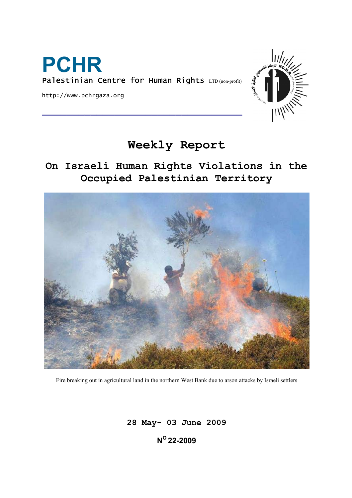

http://www.pchrgaza.org



# **Weekly Report**

**On Israeli Human Rights Violations in the Occupied Palestinian Territory** 



Fire breaking out in agricultural land in the northern West Bank due to arson attacks by Israeli settlers

**28 May- 03 June 2009 NO 22-2009**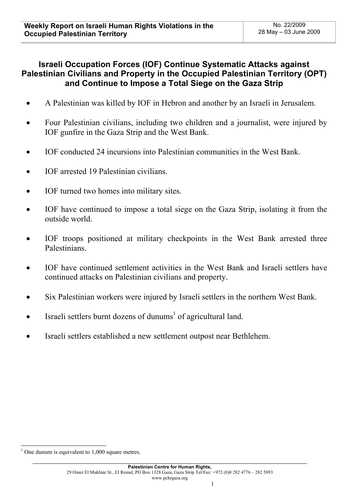# **Israeli Occupation Forces (IOF) Continue Systematic Attacks against Palestinian Civilians and Property in the Occupied Palestinian Territory (OPT) and Continue to Impose a Total Siege on the Gaza Strip**

- A Palestinian was killed by IOF in Hebron and another by an Israeli in Jerusalem.
- Four Palestinian civilians, including two children and a journalist, were injured by IOF gunfire in the Gaza Strip and the West Bank.
- IOF conducted 24 incursions into Palestinian communities in the West Bank.
- IOF arrested 19 Palestinian civilians.
- IOF turned two homes into military sites.
- IOF have continued to impose a total siege on the Gaza Strip, isolating it from the outside world.
- IOF troops positioned at military checkpoints in the West Bank arrested three Palestinians.
- IOF have continued settlement activities in the West Bank and Israeli settlers have continued attacks on Palestinian civilians and property.
- Six Palestinian workers were injured by Israeli settlers in the northern West Bank.
- Israeli settlers burnt dozens of dunums<sup>1</sup> of agricultural land.
- Israeli settlers established a new settlement outpost near Bethlehem.

l

 $<sup>1</sup>$  One dunum is equivalent to 1,000 square metres.</sup>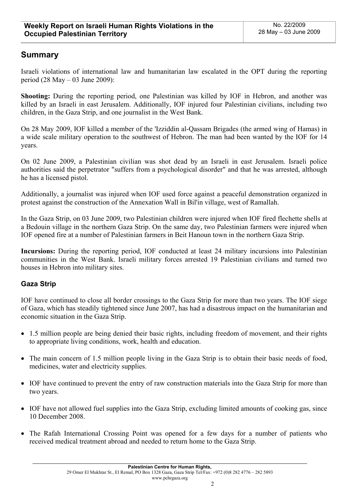# **Summary**

Israeli violations of international law and humanitarian law escalated in the OPT during the reporting period (28 May – 03 June 2009):

**Shooting:** During the reporting period, one Palestinian was killed by IOF in Hebron, and another was killed by an Israeli in east Jerusalem. Additionally, IOF injured four Palestinian civilians, including two children, in the Gaza Strip, and one journalist in the West Bank.

On 28 May 2009, IOF killed a member of the 'Izziddin al-Qassam Brigades (the armed wing of Hamas) in a wide scale military operation to the southwest of Hebron. The man had been wanted by the IOF for 14 years.

On 02 June 2009, a Palestinian civilian was shot dead by an Israeli in east Jerusalem. Israeli police authorities said the perpetrator "suffers from a psychological disorder" and that he was arrested, although he has a licensed pistol.

Additionally, a journalist was injured when IOF used force against a peaceful demonstration organized in protest against the construction of the Annexation Wall in Bil'in village, west of Ramallah.

In the Gaza Strip, on 03 June 2009, two Palestinian children were injured when IOF fired flechette shells at a Bedouin village in the northern Gaza Strip. On the same day, two Palestinian farmers were injured when IOF opened fire at a number of Palestinian farmers in Beit Hanoun town in the northern Gaza Strip.

**Incursions:** During the reporting period, IOF conducted at least 24 military incursions into Palestinian communities in the West Bank. Israeli military forces arrested 19 Palestinian civilians and turned two houses in Hebron into military sites.

# **Gaza Strip**

IOF have continued to close all border crossings to the Gaza Strip for more than two years. The IOF siege of Gaza, which has steadily tightened since June 2007, has had a disastrous impact on the humanitarian and economic situation in the Gaza Strip.

- 1.5 million people are being denied their basic rights, including freedom of movement, and their rights to appropriate living conditions, work, health and education.
- The main concern of 1.5 million people living in the Gaza Strip is to obtain their basic needs of food, medicines, water and electricity supplies.
- IOF have continued to prevent the entry of raw construction materials into the Gaza Strip for more than two years.
- IOF have not allowed fuel supplies into the Gaza Strip, excluding limited amounts of cooking gas, since 10 December 2008.
- The Rafah International Crossing Point was opened for a few days for a number of patients who received medical treatment abroad and needed to return home to the Gaza Strip.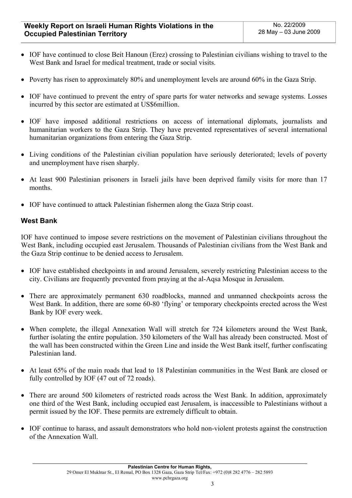- IOF have continued to close Beit Hanoun (Erez) crossing to Palestinian civilians wishing to travel to the West Bank and Israel for medical treatment, trade or social visits.
- Poverty has risen to approximately 80% and unemployment levels are around 60% in the Gaza Strip.
- IOF have continued to prevent the entry of spare parts for water networks and sewage systems. Losses incurred by this sector are estimated at US\$6million.
- IOF have imposed additional restrictions on access of international diplomats, journalists and humanitarian workers to the Gaza Strip. They have prevented representatives of several international humanitarian organizations from entering the Gaza Strip.
- Living conditions of the Palestinian civilian population have seriously deteriorated; levels of poverty and unemployment have risen sharply.
- At least 900 Palestinian prisoners in Israeli jails have been deprived family visits for more than 17 months.
- IOF have continued to attack Palestinian fishermen along the Gaza Strip coast.

## **West Bank**

IOF have continued to impose severe restrictions on the movement of Palestinian civilians throughout the West Bank, including occupied east Jerusalem. Thousands of Palestinian civilians from the West Bank and the Gaza Strip continue to be denied access to Jerusalem.

- IOF have established checkpoints in and around Jerusalem, severely restricting Palestinian access to the city. Civilians are frequently prevented from praying at the al-Aqsa Mosque in Jerusalem.
- There are approximately permanent 630 roadblocks, manned and unmanned checkpoints across the West Bank. In addition, there are some 60-80 'flying' or temporary checkpoints erected across the West Bank by IOF every week.
- When complete, the illegal Annexation Wall will stretch for 724 kilometers around the West Bank, further isolating the entire population. 350 kilometers of the Wall has already been constructed. Most of the wall has been constructed within the Green Line and inside the West Bank itself, further confiscating Palestinian land.
- At least 65% of the main roads that lead to 18 Palestinian communities in the West Bank are closed or fully controlled by IOF (47 out of 72 roads).
- There are around 500 kilometers of restricted roads across the West Bank. In addition, approximately one third of the West Bank, including occupied east Jerusalem, is inaccessible to Palestinians without a permit issued by the IOF. These permits are extremely difficult to obtain.
- IOF continue to harass, and assault demonstrators who hold non-violent protests against the construction of the Annexation Wall.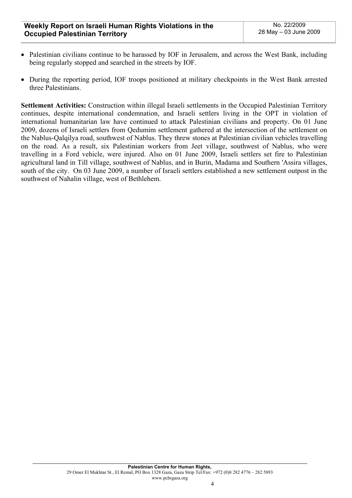- Palestinian civilians continue to be harassed by IOF in Jerusalem, and across the West Bank, including being regularly stopped and searched in the streets by IOF.
- During the reporting period, IOF troops positioned at military checkpoints in the West Bank arrested three Palestinians.

**Settlement Activities:** Construction within illegal Israeli settlements in the Occupied Palestinian Territory continues, despite international condemnation, and Israeli settlers living in the OPT in violation of international humanitarian law have continued to attack Palestinian civilians and property. On 01 June 2009, dozens of Israeli settlers from Qedumim settlement gathered at the intersection of the settlement on the Nablus-Qalqilya road, southwest of Nablus. They threw stones at Palestinian civilian vehicles travelling on the road. As a result, six Palestinian workers from Jeet village, southwest of Nablus, who were travelling in a Ford vehicle, were injured. Also on 01 June 2009, Israeli settlers set fire to Palestinian agricultural land in Till village, southwest of Nablus, and in Burin, Madama and Southern 'Assira villages, south of the city. On 03 June 2009, a number of Israeli settlers established a new settlement outpost in the southwest of Nahalin village, west of Bethlehem.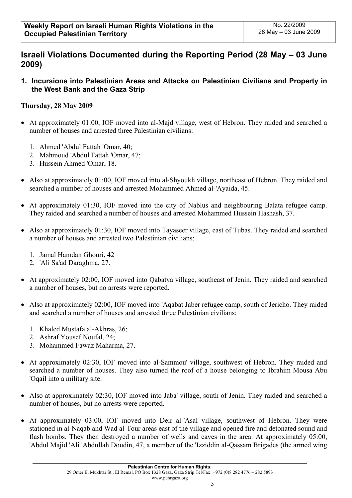# **Israeli Violations Documented during the Reporting Period (28 May – 03 June 2009)**

**1. Incursions into Palestinian Areas and Attacks on Palestinian Civilians and Property in the West Bank and the Gaza Strip** 

# **Thursday, 28 May 2009**

- At approximately 01:00, IOF moved into al-Majd village, west of Hebron. They raided and searched a number of houses and arrested three Palestinian civilians:
	- 1. Ahmed 'Abdul Fattah 'Omar, 40;
	- 2. Mahmoud 'Abdul Fattah 'Omar, 47;
	- 3. Hussein Ahmed 'Omar, 18.
- Also at approximately 01:00, IOF moved into al-Shyoukh village, northeast of Hebron. They raided and searched a number of houses and arrested Mohammed Ahmed al-'Ayaida, 45.
- At approximately 01:30, IOF moved into the city of Nablus and neighbouring Balata refugee camp. They raided and searched a number of houses and arrested Mohammed Hussein Hashash, 37.
- Also at approximately 01:30, IOF moved into Tayaseer village, east of Tubas. They raided and searched a number of houses and arrested two Palestinian civilians:
	- 1. Jamal Hamdan Ghouri, 42
	- 2. 'Ali Sa'ad Daraghma, 27.
- At approximately 02:00, IOF moved into Qabatya village, southeast of Jenin. They raided and searched a number of houses, but no arrests were reported.
- Also at approximately 02:00, IOF moved into 'Aqabat Jaber refugee camp, south of Jericho. They raided and searched a number of houses and arrested three Palestinian civilians:
	- 1. Khaled Mustafa al-Akhras, 26;
	- 2. Ashraf Yousef Noufal, 24;
	- 3. Mohammed Fawaz Maharma, 27.
- At approximately 02:30, IOF moved into al-Sammou' village, southwest of Hebron. They raided and searched a number of houses. They also turned the roof of a house belonging to Ibrahim Mousa Abu 'Oqail into a military site.
- Also at approximately 02:30, IOF moved into Jaba' village, south of Jenin. They raided and searched a number of houses, but no arrests were reported.
- At approximately 03:00, IOF moved into Deir al-'Asal village, southwest of Hebron. They were stationed in al-Naqab and Wad al-Tour areas east of the village and opened fire and detonated sound and flash bombs. They then destroyed a number of wells and caves in the area. At approximately 05:00, 'Abdul Majid 'Ali 'Abdullah Doudin, 47, a member of the 'Izziddin al-Qassam Brigades (the armed wing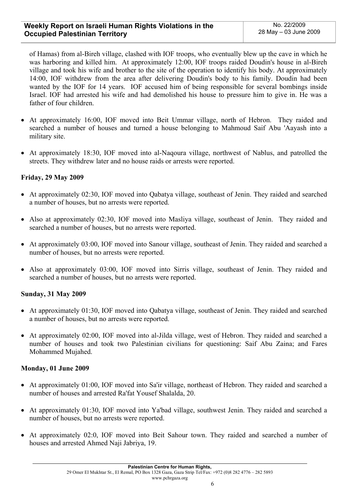of Hamas) from al-Bireh village, clashed with IOF troops, who eventually blew up the cave in which he was harboring and killed him. At approximately 12:00, IOF troops raided Doudin's house in al-Bireh village and took his wife and brother to the site of the operation to identify his body. At approximately 14:00, IOF withdrew from the area after delivering Doudin's body to his family. Doudin had been wanted by the IOF for 14 years. IOF accused him of being responsible for several bombings inside Israel. IOF had arrested his wife and had demolished his house to pressure him to give in. He was a father of four children.

- At approximately 16:00, IOF moved into Beit Ummar village, north of Hebron. They raided and searched a number of houses and turned a house belonging to Mahmoud Saif Abu 'Aayash into a military site.
- At approximately 18:30, IOF moved into al-Naqoura village, northwest of Nablus, and patrolled the streets. They withdrew later and no house raids or arrests were reported.

## **Friday, 29 May 2009**

- At approximately 02:30, IOF moved into Qabatya village, southeast of Jenin. They raided and searched a number of houses, but no arrests were reported.
- Also at approximately 02:30, IOF moved into Masliya village, southeast of Jenin. They raided and searched a number of houses, but no arrests were reported.
- At approximately 03:00, IOF moved into Sanour village, southeast of Jenin. They raided and searched a number of houses, but no arrests were reported.
- Also at approximately 03:00, IOF moved into Sirris village, southeast of Jenin. They raided and searched a number of houses, but no arrests were reported.

## **Sunday, 31 May 2009**

- At approximately 01:30, IOF moved into Qabatya village, southeast of Jenin. They raided and searched a number of houses, but no arrests were reported.
- At approximately 02:00, IOF moved into al-Jilda village, west of Hebron. They raided and searched a number of houses and took two Palestinian civilians for questioning: Saif Abu Zaina; and Fares Mohammed Mujahed.

## **Monday, 01 June 2009**

- At approximately 01:00, IOF moved into Sa'ir village, northeast of Hebron. They raided and searched a number of houses and arrested Ra'fat Yousef Shalalda, 20.
- At approximately 01:30, IOF moved into Ya'bad village, southwest Jenin. They raided and searched a number of houses, but no arrests were reported.
- At approximately 02:0, IOF moved into Beit Sahour town. They raided and searched a number of houses and arrested Ahmed Naji Jabriya, 19.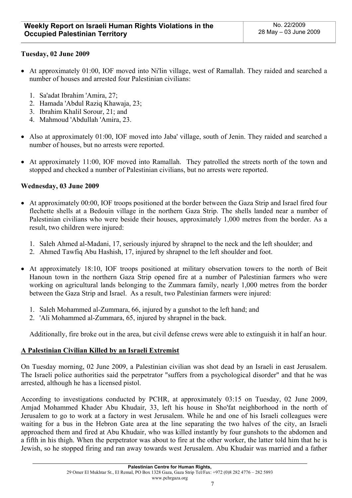# **Tuesday, 02 June 2009**

- At approximately 01:00, IOF moved into Ni'lin village, west of Ramallah. They raided and searched a number of houses and arrested four Palestinian civilians:
	- 1. Sa'adat Ibrahim 'Amira, 27;
	- 2. Hamada 'Abdul Raziq Khawaja, 23;
	- 3. Ibrahim Khalil Sorour, 21; and
	- 4. Mahmoud 'Abdullah 'Amira, 23.
- Also at approximately 01:00, IOF moved into Jaba' village, south of Jenin. They raided and searched a number of houses, but no arrests were reported.
- At approximately 11:00, IOF moved into Ramallah. They patrolled the streets north of the town and stopped and checked a number of Palestinian civilians, but no arrests were reported.

## **Wednesday, 03 June 2009**

- At approximately 00:00, IOF troops positioned at the border between the Gaza Strip and Israel fired four flechette shells at a Bedouin village in the northern Gaza Strip. The shells landed near a number of Palestinian civilians who were beside their houses, approximately 1,000 metres from the border. As a result, two children were injured:
	- 1. Saleh Ahmed al-Madani, 17, seriously injured by shrapnel to the neck and the left shoulder; and
	- 2. Ahmed Tawfiq Abu Hashish, 17, injured by shrapnel to the left shoulder and foot.
- At approximately 18:10, IOF troops positioned at military observation towers to the north of Beit Hanoun town in the northern Gaza Strip opened fire at a number of Palestinian farmers who were working on agricultural lands belonging to the Zummara family, nearly 1,000 metres from the border between the Gaza Strip and Israel. As a result, two Palestinian farmers were injured:
	- 1. Saleh Mohammed al-Zummara, 66, injured by a gunshot to the left hand; and
	- 2. 'Ali Mohammed al-Zummara, 65, injured by shrapnel in the back.

Additionally, fire broke out in the area, but civil defense crews were able to extinguish it in half an hour.

## **A Palestinian Civilian Killed by an Israeli Extremist**

On Tuesday morning, 02 June 2009, a Palestinian civilian was shot dead by an Israeli in east Jerusalem. The Israeli police authorities said the perpetrator "suffers from a psychological disorder" and that he was arrested, although he has a licensed pistol.

According to investigations conducted by PCHR, at approximately 03:15 on Tuesday, 02 June 2009, Amjad Mohammed Khader Abu Khudair, 33, left his house in Sho'fat neighborhood in the north of Jerusalem to go to work at a factory in west Jerusalem. While he and one of his Israeli colleagues were waiting for a bus in the Hebron Gate area at the line separating the two halves of the city, an Israeli approached them and fired at Abu Khudair, who was killed instantly by four gunshots to the abdomen and a fifth in his thigh. When the perpetrator was about to fire at the other worker, the latter told him that he is Jewish, so he stopped firing and ran away towards west Jerusalem. Abu Khudair was married and a father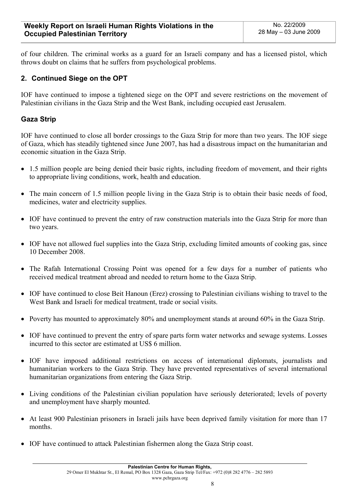of four children. The criminal works as a guard for an Israeli company and has a licensed pistol, which throws doubt on claims that he suffers from psychological problems.

# **2. Continued Siege on the OPT**

IOF have continued to impose a tightened siege on the OPT and severe restrictions on the movement of Palestinian civilians in the Gaza Strip and the West Bank, including occupied east Jerusalem.

# **Gaza Strip**

IOF have continued to close all border crossings to the Gaza Strip for more than two years. The IOF siege of Gaza, which has steadily tightened since June 2007, has had a disastrous impact on the humanitarian and economic situation in the Gaza Strip.

- 1.5 million people are being denied their basic rights, including freedom of movement, and their rights to appropriate living conditions, work, health and education.
- The main concern of 1.5 million people living in the Gaza Strip is to obtain their basic needs of food, medicines, water and electricity supplies.
- IOF have continued to prevent the entry of raw construction materials into the Gaza Strip for more than two years.
- IOF have not allowed fuel supplies into the Gaza Strip, excluding limited amounts of cooking gas, since 10 December 2008.
- The Rafah International Crossing Point was opened for a few days for a number of patients who received medical treatment abroad and needed to return home to the Gaza Strip.
- IOF have continued to close Beit Hanoun (Erez) crossing to Palestinian civilians wishing to travel to the West Bank and Israeli for medical treatment, trade or social visits.
- Poverty has mounted to approximately 80% and unemployment stands at around 60% in the Gaza Strip.
- IOF have continued to prevent the entry of spare parts form water networks and sewage systems. Losses incurred to this sector are estimated at US\$ 6 million.
- IOF have imposed additional restrictions on access of international diplomats, journalists and humanitarian workers to the Gaza Strip. They have prevented representatives of several international humanitarian organizations from entering the Gaza Strip.
- Living conditions of the Palestinian civilian population have seriously deteriorated; levels of poverty and unemployment have sharply mounted.
- At least 900 Palestinian prisoners in Israeli jails have been deprived family visitation for more than 17 months.
- IOF have continued to attack Palestinian fishermen along the Gaza Strip coast.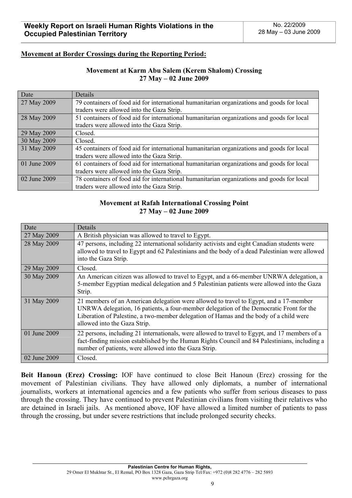## **Movement at Border Crossings during the Reporting Period:**

## **Movement at Karm Abu Salem (Kerem Shalom) Crossing 27 May – 02 June 2009**

| Date         | Details                                                                                    |  |  |  |
|--------------|--------------------------------------------------------------------------------------------|--|--|--|
| 27 May 2009  | 79 containers of food aid for international humanitarian organizations and goods for local |  |  |  |
|              | traders were allowed into the Gaza Strip.                                                  |  |  |  |
| 28 May 2009  | 51 containers of food aid for international humanitarian organizations and goods for local |  |  |  |
|              | traders were allowed into the Gaza Strip.                                                  |  |  |  |
| 29 May 2009  | Closed.                                                                                    |  |  |  |
| 30 May 2009  | Closed.                                                                                    |  |  |  |
| 31 May 2009  | 45 containers of food aid for international humanitarian organizations and goods for local |  |  |  |
|              | traders were allowed into the Gaza Strip.                                                  |  |  |  |
| 01 June 2009 | 61 containers of food aid for international humanitarian organizations and goods for local |  |  |  |
|              | traders were allowed into the Gaza Strip.                                                  |  |  |  |
| 02 June 2009 | 78 containers of food aid for international humanitarian organizations and goods for local |  |  |  |
|              | traders were allowed into the Gaza Strip.                                                  |  |  |  |

## **Movement at Rafah International Crossing Point 27 May – 02 June 2009**

| Date         | Details                                                                                                                                                                                                                                                                                                    |  |  |  |  |
|--------------|------------------------------------------------------------------------------------------------------------------------------------------------------------------------------------------------------------------------------------------------------------------------------------------------------------|--|--|--|--|
| 27 May 2009  | A British physician was allowed to travel to Egypt.                                                                                                                                                                                                                                                        |  |  |  |  |
| 28 May 2009  | 47 persons, including 22 international solidarity activists and eight Canadian students were<br>allowed to travel to Egypt and 62 Palestinians and the body of a dead Palestinian were allowed<br>into the Gaza Strip.                                                                                     |  |  |  |  |
| 29 May 2009  | Closed.                                                                                                                                                                                                                                                                                                    |  |  |  |  |
| 30 May 2009  | An American citizen was allowed to travel to Egypt, and a 66-member UNRWA delegation, a<br>5-member Egyptian medical delegation and 5 Palestinian patients were allowed into the Gaza<br>Strip.                                                                                                            |  |  |  |  |
| 31 May 2009  | 21 members of an American delegation were allowed to travel to Egypt, and a 17-member<br>UNRWA delegation, 16 patients, a four-member delegation of the Democratic Front for the<br>Liberation of Palestine, a two-member delegation of Hamas and the body of a child were<br>allowed into the Gaza Strip. |  |  |  |  |
| 01 June 2009 | 22 persons, including 21 internationals, were allowed to travel to Egypt, and 17 members of a<br>fact-finding mission established by the Human Rights Council and 84 Palestinians, including a<br>number of patients, were allowed into the Gaza Strip.                                                    |  |  |  |  |
| 02 June 2009 | Closed.                                                                                                                                                                                                                                                                                                    |  |  |  |  |

**Beit Hanoun (Erez) Crossing:** IOF have continued to close Beit Hanoun (Erez) crossing for the movement of Palestinian civilians. They have allowed only diplomats, a number of international journalists, workers at international agencies and a few patients who suffer from serious diseases to pass through the crossing. They have continued to prevent Palestinian civilians from visiting their relatives who are detained in Israeli jails. As mentioned above, IOF have allowed a limited number of patients to pass through the crossing, but under severe restrictions that include prolonged security checks.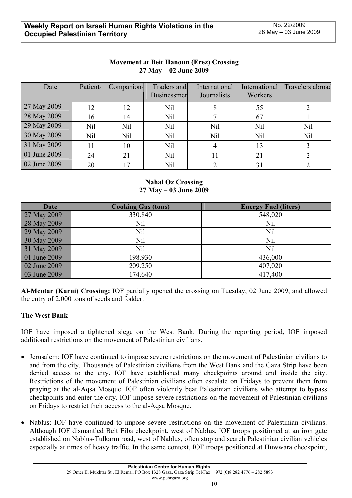| <b>Movement at Beit Hanoun (Erez) Crossing</b> |
|------------------------------------------------|
| $27$ May $-02$ June 2009                       |

| Date         | Patients | Companions | Traders and<br><b>Businessmen</b> | International<br>Journalists | International<br>Workers | Travelers abroad |
|--------------|----------|------------|-----------------------------------|------------------------------|--------------------------|------------------|
| 27 May 2009  | 12       | 12         | Nil                               |                              | 55                       |                  |
| 28 May 2009  | 16       | 14         | Nil                               |                              | 67                       |                  |
| 29 May 2009  | Nil      | <b>Nil</b> | Nil                               | <b>Nil</b>                   | Nil                      | Nil              |
| 30 May 2009  | Nil      | Nil        | Nil                               | Nil                          | Nil                      | <b>Nil</b>       |
| 31 May 2009  | 11       | 10         | Nil                               | 4                            | 13                       |                  |
| 01 June 2009 | 24       | 21         | Nil                               | 11                           | 21                       |                  |
| 02 June 2009 | 20       | 17         | Nil                               |                              | 31                       |                  |

## **Nahal Oz Crossing 27 May – 03 June 2009**

| <b>Date</b>  | <b>Cooking Gas (tons)</b> | <b>Energy Fuel (liters)</b> |
|--------------|---------------------------|-----------------------------|
| 27 May 2009  | 330.840                   | 548,020                     |
| 28 May 2009  | Nil                       | Nil                         |
| 29 May 2009  | Nil                       | Nil                         |
| 30 May 2009  | Nil                       | Nil                         |
| 31 May 2009  | Nil                       | Nil                         |
| 01 June 2009 | 198.930                   | 436,000                     |
| 02 June 2009 | 209.250                   | 407,020                     |
| 03 June 2009 | 174.640                   | 417,400                     |

**Al-Mentar (Karni) Crossing:** IOF partially opened the crossing on Tuesday, 02 June 2009, and allowed the entry of 2,000 tons of seeds and fodder.

## **The West Bank**

IOF have imposed a tightened siege on the West Bank. During the reporting period, IOF imposed additional restrictions on the movement of Palestinian civilians.

- Jerusalem: IOF have continued to impose severe restrictions on the movement of Palestinian civilians to and from the city. Thousands of Palestinian civilians from the West Bank and the Gaza Strip have been denied access to the city. IOF have established many checkpoints around and inside the city. Restrictions of the movement of Palestinian civilians often escalate on Fridays to prevent them from praying at the al-Aqsa Mosque. IOF often violently beat Palestinian civilians who attempt to bypass checkpoints and enter the city. IOF impose severe restrictions on the movement of Palestinian civilians on Fridays to restrict their access to the al-Aqsa Mosque.
- Nablus: IOF have continued to impose severe restrictions on the movement of Palestinian civilians. Although IOF dismantled Beit Eiba checkpoint, west of Nablus, IOF troops positioned at an iron gate established on Nablus-Tulkarm road, west of Nablus, often stop and search Palestinian civilian vehicles especially at times of heavy traffic. In the same context, IOF troops positioned at Huwwara checkpoint,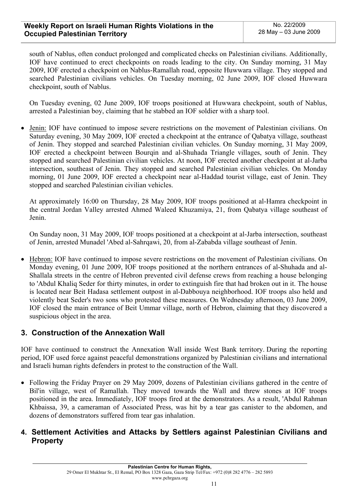south of Nablus, often conduct prolonged and complicated checks on Palestinian civilians. Additionally, IOF have continued to erect checkpoints on roads leading to the city. On Sunday morning, 31 May 2009, IOF erected a checkpoint on Nablus-Ramallah road, opposite Huwwara village. They stopped and searched Palestinian civilians vehicles. On Tuesday morning, 02 June 2009, IOF closed Huwwara checkpoint, south of Nablus.

On Tuesday evening, 02 June 2009, IOF troops positioned at Huwwara checkpoint, south of Nablus, arrested a Palestinian boy, claiming that he stabbed an IOF soldier with a sharp tool.

• Jenin: IOF have continued to impose severe restrictions on the movement of Palestinian civilians. On Saturday evening, 30 May 2009, IOF erected a checkpoint at the entrance of Qabatya village, southeast of Jenin. They stopped and searched Palestinian civilian vehicles. On Sunday morning, 31 May 2009, IOF erected a checkpoint between Bourqin and al-Shuhada Triangle villages, south of Jenin. They stopped and searched Palestinian civilian vehicles. At noon, IOF erected another checkpoint at al-Jarba intersection, southeast of Jenin. They stopped and searched Palestinian civilian vehicles. On Monday morning, 01 June 2009, IOF erected a checkpoint near al-Haddad tourist village, east of Jenin. They stopped and searched Palestinian civilian vehicles.

At approximately 16:00 on Thursday, 28 May 2009, IOF troops positioned at al-Hamra checkpoint in the central Jordan Valley arrested Ahmed Waleed Khuzamiya, 21, from Qabatya village southeast of Jenin.

On Sunday noon, 31 May 2009, IOF troops positioned at a checkpoint at al-Jarba intersection, southeast of Jenin, arrested Munadel 'Abed al-Sahrqawi, 20, from al-Zababda village southeast of Jenin.

• Hebron: IOF have continued to impose severe restrictions on the movement of Palestinian civilians. On Monday evening, 01 June 2009, IOF troops positioned at the northern entrances of al-Shuhada and al-Shallala streets in the centre of Hebron prevented civil defense crews from reaching a house belonging to 'Abdul Khaliq Seder for thirty minutes, in order to extinguish fire that had broken out in it. The house is located near Beit Hadasa settlement outpost in al-Dabbouya neighborhood. IOF troops also held and violently beat Seder's two sons who protested these measures. On Wednesday afternoon, 03 June 2009, IOF closed the main entrance of Beit Ummar village, north of Hebron, claiming that they discovered a suspicious object in the area.

# **3. Construction of the Annexation Wall**

IOF have continued to construct the Annexation Wall inside West Bank territory. During the reporting period, IOF used force against peaceful demonstrations organized by Palestinian civilians and international and Israeli human rights defenders in protest to the construction of the Wall.

• Following the Friday Prayer on 29 May 2009, dozens of Palestinian civilians gathered in the centre of Bil'in village, west of Ramallah. They moved towards the Wall and threw stones at IOF troops positioned in the area. Immediately, IOF troops fired at the demonstrators. As a result, 'Abdul Rahman Khbaissa, 39, a cameraman of Associated Press, was hit by a tear gas canister to the abdomen, and dozens of demonstrators suffered from tear gas inhalation.

# **4. Settlement Activities and Attacks by Settlers against Palestinian Civilians and Property**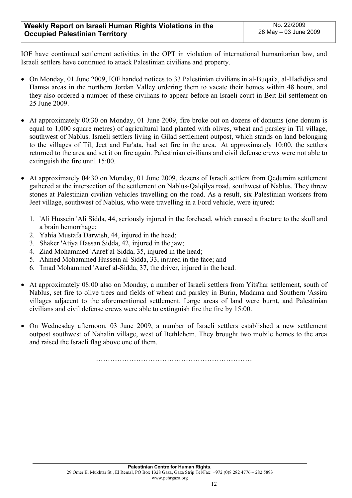IOF have continued settlement activities in the OPT in violation of international humanitarian law, and Israeli settlers have continued to attack Palestinian civilians and property.

- On Monday, 01 June 2009, IOF handed notices to 33 Palestinian civilians in al-Buqai'a, al-Hadidiya and Hamsa areas in the northern Jordan Valley ordering them to vacate their homes within 48 hours, and they also ordered a number of these civilians to appear before an Israeli court in Beit Eil settlement on 25 June 2009.
- At approximately 00:30 on Monday, 01 June 2009, fire broke out on dozens of donums (one donum is equal to 1,000 square metres) of agricultural land planted with olives, wheat and parsley in Til village, southwest of Nablus. Israeli settlers living in Gilad settlement outpost, which stands on land belonging to the villages of Til, Jeet and Far'ata, had set fire in the area. At approximately 10:00, the settlers returned to the area and set it on fire again. Palestinian civilians and civil defense crews were not able to extinguish the fire until 15:00.
- At approximately 04:30 on Monday, 01 June 2009, dozens of Israeli settlers from Qedumim settlement gathered at the intersection of the settlement on Nablus-Qalqilya road, southwest of Nablus. They threw stones at Palestinian civilian vehicles travelling on the road. As a result, six Palestinian workers from Jeet village, southwest of Nablus, who were travelling in a Ford vehicle, were injured:
	- 1. 'Ali Hussein 'Ali Sidda, 44, seriously injured in the forehead, which caused a fracture to the skull and a brain hemorrhage;
	- 2. Yahia Mustafa Darwish, 44, injured in the head;
	- 3. Shaker 'Atiya Hassan Sidda, 42, injured in the jaw;
	- 4. Ziad Mohammed 'Aaref al-Sidda, 35, injured in the head;
	- 5. Ahmed Mohammed Hussein al-Sidda, 33, injured in the face; and
	- 6. 'Imad Mohammed 'Aaref al-Sidda, 37, the driver, injured in the head.
- At approximately 08:00 also on Monday, a number of Israeli settlers from Yits'har settlement, south of Nablus, set fire to olive trees and fields of wheat and parsley in Burin, Madama and Southern 'Assira villages adjacent to the aforementioned settlement. Large areas of land were burnt, and Palestinian civilians and civil defense crews were able to extinguish fire the fire by 15:00.
- On Wednesday afternoon, 03 June 2009, a number of Israeli settlers established a new settlement outpost southwest of Nahalin village, west of Bethlehem. They brought two mobile homes to the area and raised the Israeli flag above one of them.

…………………………………………………………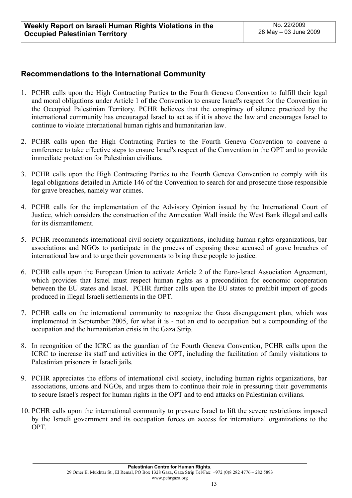# **Recommendations to the International Community**

- 1. PCHR calls upon the High Contracting Parties to the Fourth Geneva Convention to fulfill their legal and moral obligations under Article 1 of the Convention to ensure Israel's respect for the Convention in the Occupied Palestinian Territory. PCHR believes that the conspiracy of silence practiced by the international community has encouraged Israel to act as if it is above the law and encourages Israel to continue to violate international human rights and humanitarian law.
- 2. PCHR calls upon the High Contracting Parties to the Fourth Geneva Convention to convene a conference to take effective steps to ensure Israel's respect of the Convention in the OPT and to provide immediate protection for Palestinian civilians.
- 3. PCHR calls upon the High Contracting Parties to the Fourth Geneva Convention to comply with its legal obligations detailed in Article 146 of the Convention to search for and prosecute those responsible for grave breaches, namely war crimes.
- 4. PCHR calls for the implementation of the Advisory Opinion issued by the International Court of Justice, which considers the construction of the Annexation Wall inside the West Bank illegal and calls for its dismantlement.
- 5. PCHR recommends international civil society organizations, including human rights organizations, bar associations and NGOs to participate in the process of exposing those accused of grave breaches of international law and to urge their governments to bring these people to justice.
- 6. PCHR calls upon the European Union to activate Article 2 of the Euro-Israel Association Agreement, which provides that Israel must respect human rights as a precondition for economic cooperation between the EU states and Israel. PCHR further calls upon the EU states to prohibit import of goods produced in illegal Israeli settlements in the OPT.
- 7. PCHR calls on the international community to recognize the Gaza disengagement plan, which was implemented in September 2005, for what it is - not an end to occupation but a compounding of the occupation and the humanitarian crisis in the Gaza Strip.
- 8. In recognition of the ICRC as the guardian of the Fourth Geneva Convention, PCHR calls upon the ICRC to increase its staff and activities in the OPT, including the facilitation of family visitations to Palestinian prisoners in Israeli jails.
- 9. PCHR appreciates the efforts of international civil society, including human rights organizations, bar associations, unions and NGOs, and urges them to continue their role in pressuring their governments to secure Israel's respect for human rights in the OPT and to end attacks on Palestinian civilians.
- 10. PCHR calls upon the international community to pressure Israel to lift the severe restrictions imposed by the Israeli government and its occupation forces on access for international organizations to the OPT.